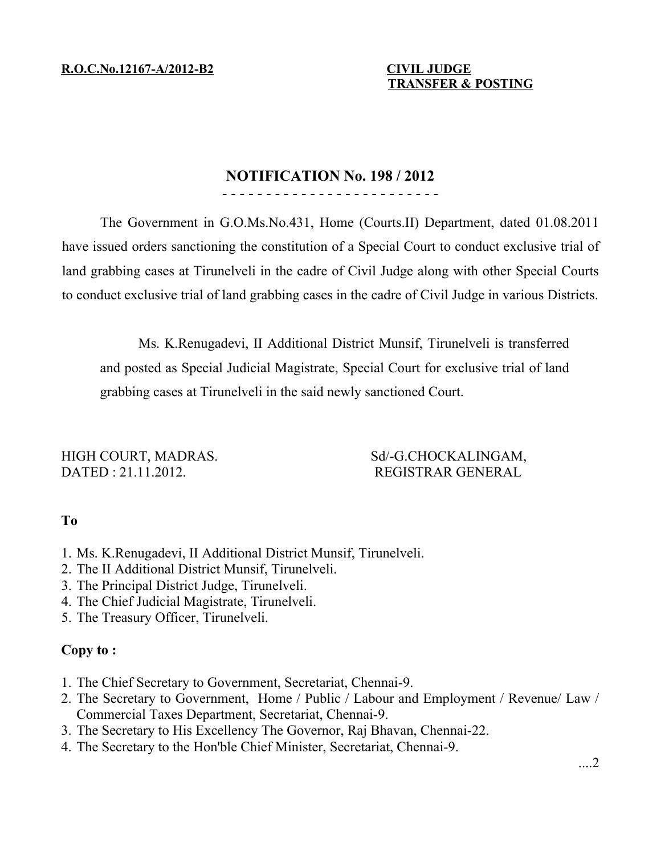**R.O.C.No.12167-A/2012-B2 CIVIL JUDGE**

# **TRANSFER & POSTING**

#### **NOTIFICATION No. 198 / 2012** - - - - - - - - - - - - - - - - - - - - - - - - -

The Government in G.O.Ms.No.431, Home (Courts.II) Department, dated 01.08.2011 have issued orders sanctioning the constitution of a Special Court to conduct exclusive trial of land grabbing cases at Tirunelveli in the cadre of Civil Judge along with other Special Courts to conduct exclusive trial of land grabbing cases in the cadre of Civil Judge in various Districts.

Ms. K.Renugadevi, II Additional District Munsif, Tirunelveli is transferred and posted as Special Judicial Magistrate, Special Court for exclusive trial of land grabbing cases at Tirunelveli in the said newly sanctioned Court.

HIGH COURT, MADRAS. Sd/-G.CHOCKALINGAM, DATED : 21.11.2012. REGISTRAR GENERAL

# **To**

- 1. Ms. K.Renugadevi, II Additional District Munsif, Tirunelveli.
- 2. The II Additional District Munsif, Tirunelveli.
- 3. The Principal District Judge, Tirunelveli.
- 4. The Chief Judicial Magistrate, Tirunelveli.
- 5. The Treasury Officer, Tirunelveli.

# **Copy to :**

- 1. The Chief Secretary to Government, Secretariat, Chennai-9.
- 2. The Secretary to Government, Home / Public / Labour and Employment / Revenue/ Law / Commercial Taxes Department, Secretariat, Chennai-9.
- 3. The Secretary to His Excellency The Governor, Raj Bhavan, Chennai-22.
- 4. The Secretary to the Hon'ble Chief Minister, Secretariat, Chennai-9.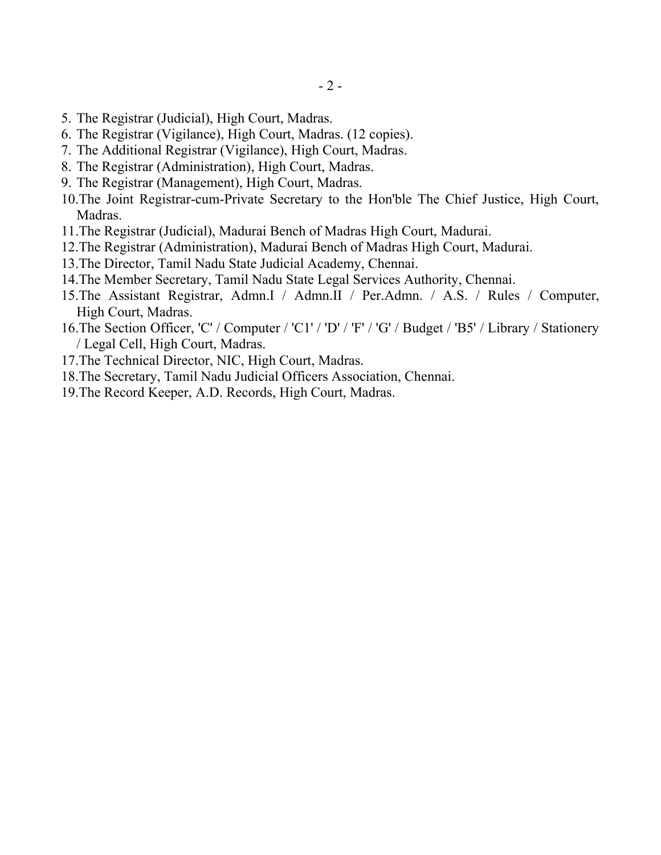- 5. The Registrar (Judicial), High Court, Madras.
- 6. The Registrar (Vigilance), High Court, Madras. (12 copies).
- 7. The Additional Registrar (Vigilance), High Court, Madras.
- 8. The Registrar (Administration), High Court, Madras.
- 9. The Registrar (Management), High Court, Madras.
- 10.The Joint Registrar-cum-Private Secretary to the Hon'ble The Chief Justice, High Court, Madras.
- 11.The Registrar (Judicial), Madurai Bench of Madras High Court, Madurai.
- 12.The Registrar (Administration), Madurai Bench of Madras High Court, Madurai.
- 13.The Director, Tamil Nadu State Judicial Academy, Chennai.
- 14.The Member Secretary, Tamil Nadu State Legal Services Authority, Chennai.
- 15.The Assistant Registrar, Admn.I / Admn.II / Per.Admn. / A.S. / Rules / Computer, High Court, Madras.
- 16.The Section Officer, 'C' / Computer / 'C1' / 'D' / 'F' / 'G' / Budget / 'B5' / Library / Stationery / Legal Cell, High Court, Madras.
- 17.The Technical Director, NIC, High Court, Madras.
- 18.The Secretary, Tamil Nadu Judicial Officers Association, Chennai.
- 19.The Record Keeper, A.D. Records, High Court, Madras.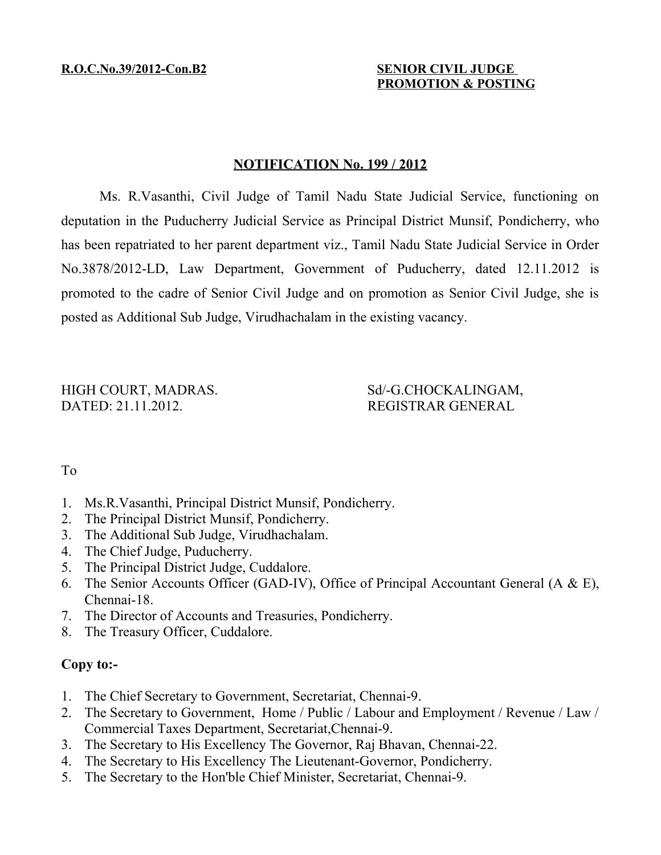# **PROMOTION & POSTING**

#### **NOTIFICATION No. 199 / 2012**

Ms. R.Vasanthi, Civil Judge of Tamil Nadu State Judicial Service, functioning on deputation in the Puducherry Judicial Service as Principal District Munsif, Pondicherry, who has been repatriated to her parent department viz., Tamil Nadu State Judicial Service in Order No.3878/2012-LD, Law Department, Government of Puducherry, dated 12.11.2012 is promoted to the cadre of Senior Civil Judge and on promotion as Senior Civil Judge, she is posted as Additional Sub Judge, Virudhachalam in the existing vacancy.

HIGH COURT, MADRAS. Sd/-G.CHOCKALINGAM, DATED: 21.11.2012. REGISTRAR GENERAL

### To

- 1. Ms.R.Vasanthi, Principal District Munsif, Pondicherry.
- 2. The Principal District Munsif, Pondicherry.
- 3. The Additional Sub Judge, Virudhachalam.
- 4. The Chief Judge, Puducherry.
- 5. The Principal District Judge, Cuddalore.
- 6. The Senior Accounts Officer (GAD-IV), Office of Principal Accountant General (A & E), Chennai-18.
- 7. The Director of Accounts and Treasuries, Pondicherry.
- 8. The Treasury Officer, Cuddalore.

## **Copy to:-**

- 1. The Chief Secretary to Government, Secretariat, Chennai-9.
- 2. The Secretary to Government, Home / Public / Labour and Employment / Revenue / Law / Commercial Taxes Department, Secretariat,Chennai-9.
- 3. The Secretary to His Excellency The Governor, Raj Bhavan, Chennai-22.
- 4. The Secretary to His Excellency The Lieutenant-Governor, Pondicherry.
- 5. The Secretary to the Hon'ble Chief Minister, Secretariat, Chennai-9.